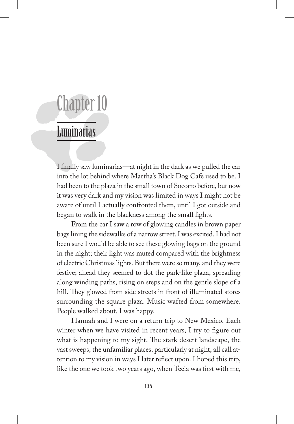## Chapter 10 **Luminarias**

I finally saw luminarias—at night in the dark as we pulled the car into the lot behind where Martha's Black Dog Cafe used to be. I had been to the plaza in the small town of Socorro before, but now it was very dark and my vision was limited in ways I might not be aware of until I actually confronted them, until I got outside and began to walk in the blackness among the small lights.

From the car I saw a row of glowing candles in brown paper bags lining the sidewalks of a narrow street. I was excited. I had not been sure I would be able to see these glowing bags on the ground in the night; their light was muted compared with the brightness of electric Christmas lights. But there were so many, and they were festive; ahead they seemed to dot the park-like plaza, spreading along winding paths, rising on steps and on the gentle slope of a hill. They glowed from side streets in front of illuminated stores surrounding the square plaza. Music wafted from somewhere. People walked about. I was happy.

Hannah and I were on a return trip to New Mexico. Each winter when we have visited in recent years, I try to figure out what is happening to my sight. The stark desert landscape, the vast sweeps, the unfamiliar places, particularly at night, all call attention to my vision in ways I later reflect upon. I hoped this trip, like the one we took two years ago, when Teela was first with me,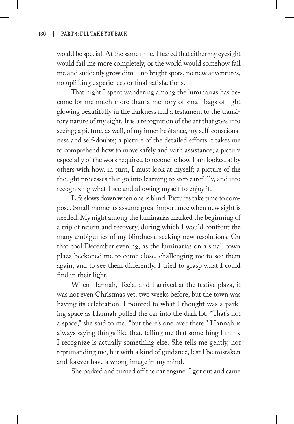would be special. At the same time, I feared that either my eyesight would fail me more completely, or the world would somehow fail me and suddenly grow dim—no bright spots, no new adventures, no uplifting experiences or final satisfactions.

That night I spent wandering among the luminarias has become for me much more than a memory of small bags of light glowing beautifully in the darkness and a testament to the transitory nature of my sight. It is a recognition of the art that goes into seeing; a picture, as well, of my inner hesitance, my self-consciousness and self-doubts; a picture of the detailed efforts it takes me to comprehend how to move safely and with assistance; a picture especially of the work required to reconcile how I am looked at by others with how, in turn, I must look at myself; a picture of the thought processes that go into learning to step carefully, and into recognizing what I see and allowing myself to enjoy it.

Life slows down when one is blind. Pictures take time to compose. Small moments assume great importance when new sight is needed. My night among the luminarias marked the beginning of a trip of return and recovery, during which I would confront the many ambiguities of my blindness, seeking new resolutions. On that cool December evening, as the luminarias on a small town plaza beckoned me to come close, challenging me to see them again, and to see them differently, I tried to grasp what I could find in their light.

When Hannah, Teela, and I arrived at the festive plaza, it was not even Christmas yet, two weeks before, but the town was having its celebration. I pointed to what I thought was a parking space as Hannah pulled the car into the dark lot. "That's not a space," she said to me, "but there's one over there." Hannah is always saying things like that, telling me that something I think I recognize is actually something else. She tells me gently, not reprimanding me, but with a kind of guidance, lest I be mistaken and forever have a wrong image in my mind.

She parked and turned off the car engine. I got out and came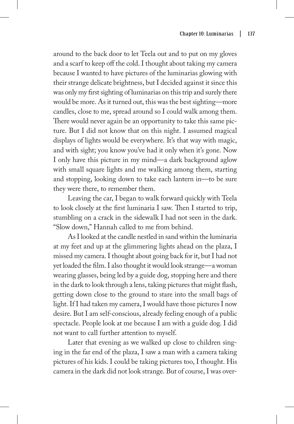around to the back door to let Teela out and to put on my gloves and a scarf to keep off the cold. I thought about taking my camera because I wanted to have pictures of the luminarias glowing with their strange delicate brightness, but I decided against it since this was only my first sighting of luminarias on this trip and surely there would be more. As it turned out, this was the best sighting—more candles, close to me, spread around so I could walk among them. There would never again be an opportunity to take this same picture. But I did not know that on this night. I assumed magical displays of lights would be everywhere. It's that way with magic, and with sight; you know you've had it only when it's gone. Now I only have this picture in my mind—a dark background aglow with small square lights and me walking among them, starting and stopping, looking down to take each lantern in—to be sure they were there, to remember them.

Leaving the car, I began to walk forward quickly with Teela to look closely at the first luminaria I saw. Then I started to trip, stumbling on a crack in the sidewalk I had not seen in the dark. "Slow down," Hannah called to me from behind.

As I looked at the candle nestled in sand within the luminaria at my feet and up at the glimmering lights ahead on the plaza, I missed my camera. I thought about going back for it, but I had not yet loaded the film. I also thought it would look strange—a woman wearing glasses, being led by a guide dog, stopping here and there in the dark to look through a lens, taking pictures that might flash, getting down close to the ground to stare into the small bags of light. If I had taken my camera, I would have those pictures I now desire. But I am self-conscious, already feeling enough of a public spectacle. People look at me because I am with a guide dog. I did not want to call further attention to myself.

Later that evening as we walked up close to children singing in the far end of the plaza, I saw a man with a camera taking pictures of his kids. I could be taking pictures too, I thought. His camera in the dark did not look strange. But of course, I was over-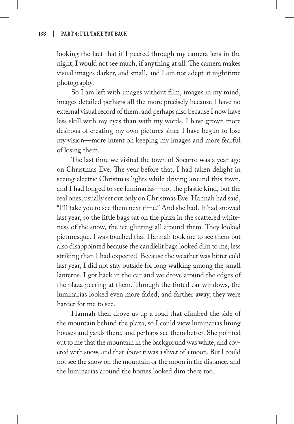## 138 PART 4: I'LL TAKE YOU BACK

looking the fact that if I peered through my camera lens in the night, I would not see much, if anything at all. The camera makes visual images darker, and small, and I am not adept at nighttime photography.

So I am left with images without film, images in my mind, images detailed perhaps all the more precisely because I have no external visual record of them, and perhaps also because I now have less skill with my eyes than with my words. I have grown more desirous of creating my own pictures since I have begun to lose my vision—more intent on keeping my images and more fearful of losing them.

The last time we visited the town of Socorro was a year ago on Christmas Eve. The year before that, I had taken delight in seeing electric Christmas lights while driving around this town, and I had longed to see luminarias—not the plastic kind, but the real ones, usually set out only on Christmas Eve. Hannah had said, "I'll take you to see them next time." And she had. It had snowed last year, so the little bags sat on the plaza in the scattered whiteness of the snow, the ice glinting all around them. They looked picturesque. I was touched that Hannah took me to see them but also disappointed because the candlelit bags looked dim to me, less striking than I had expected. Because the weather was bitter cold last year, I did not stay outside for long walking among the small lanterns. I got back in the car and we drove around the edges of the plaza peering at them. Through the tinted car windows, the luminarias looked even more faded; and farther away, they were harder for me to see.

Hannah then drove us up a road that climbed the side of the mountain behind the plaza, so I could view luminarias lining houses and yards there, and perhaps see them better. She pointed out to me that the mountain in the background was white, and covered with snow, and that above it was a sliver of a moon. But I could not see the snow on the mountain or the moon in the distance, and the luminarias around the homes looked dim there too.